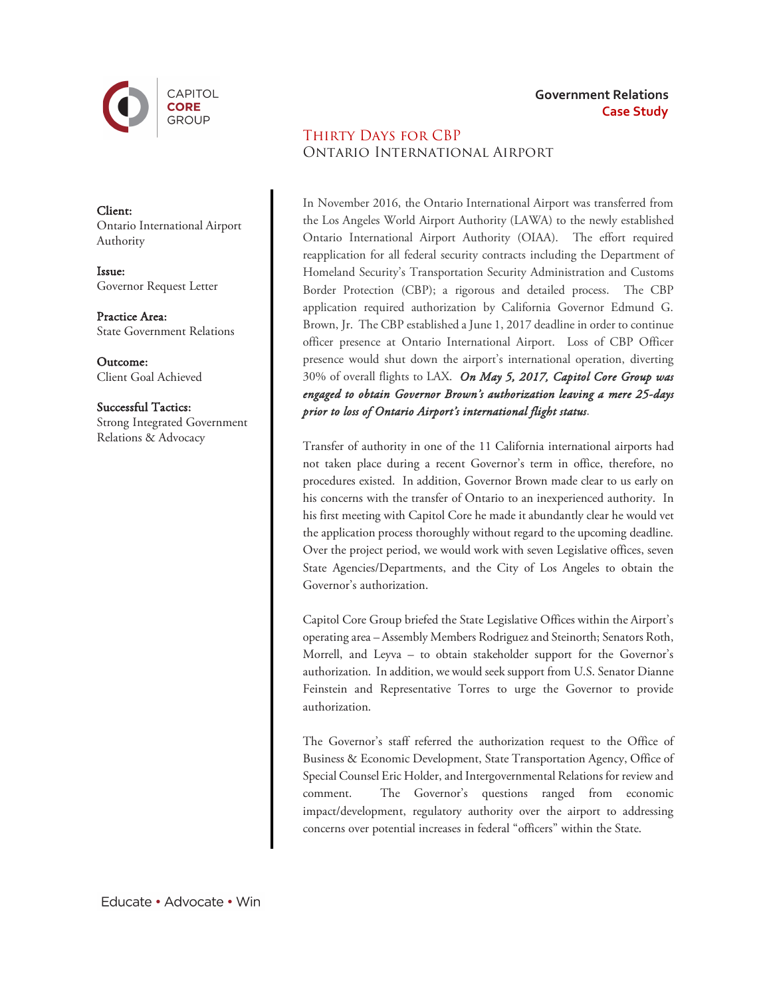

Client: Ontario International Airport Authority

Issue: Governor Request Letter

Practice Area: State Government Relations

Outcome: Client Goal Achieved

Successful Tactics: Strong Integrated Government Relations & Advocacy

## Thirty Days for CBP Ontario International Airport

In November 2016, the Ontario International Airport was transferred from the Los Angeles World Airport Authority (LAWA) to the newly established Ontario International Airport Authority (OIAA). The effort required reapplication for all federal security contracts including the Department of Homeland Security's Transportation Security Administration and Customs Border Protection (CBP); a rigorous and detailed process. The CBP application required authorization by California Governor Edmund G. Brown, Jr. The CBP established a June 1, 2017 deadline in order to continue officer presence at Ontario International Airport. Loss of CBP Officer presence would shut down the airport's international operation, diverting 30% of overall flights to LAX. *On May 5, 2017, Capitol Core Group was engaged to obtain Governor Brown's authorization leaving a mere 25-days prior to loss of Ontario Airport's international flight status*.

**Government Relations**

**Case Study**

Transfer of authority in one of the 11 California international airports had not taken place during a recent Governor's term in office, therefore, no procedures existed. In addition, Governor Brown made clear to us early on his concerns with the transfer of Ontario to an inexperienced authority. In his first meeting with Capitol Core he made it abundantly clear he would vet the application process thoroughly without regard to the upcoming deadline. Over the project period, we would work with seven Legislative offices, seven State Agencies/Departments, and the City of Los Angeles to obtain the Governor's authorization.

Capitol Core Group briefed the State Legislative Offices within the Airport's operating area – Assembly Members Rodriguez and Steinorth; Senators Roth, Morrell, and Leyva – to obtain stakeholder support for the Governor's authorization. In addition, we would seek support from U.S. Senator Dianne Feinstein and Representative Torres to urge the Governor to provide authorization.

The Governor's staff referred the authorization request to the Office of Business & Economic Development, State Transportation Agency, Office of Special Counsel Eric Holder, and Intergovernmental Relations for review and comment. The Governor's questions ranged from economic impact/development, regulatory authority over the airport to addressing concerns over potential increases in federal "officers" within the State.